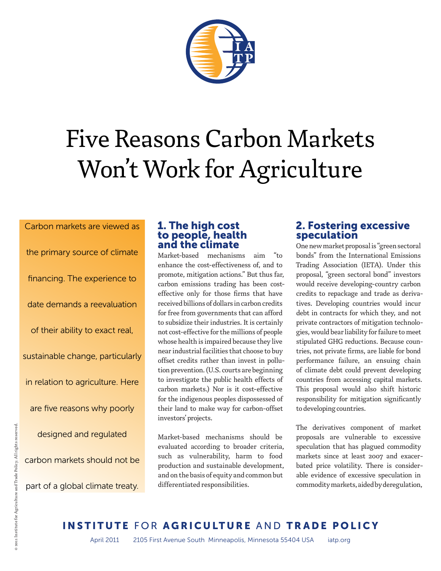

# Five Reasons Carbon Markets Won't Work for Agriculture

Carbon markets are viewed as the primary source of climate financing. The experience to date demands a reevaluation of their ability to exact real, sustainable change, particularly in relation to agriculture. Here are five reasons why poorly designed and regulated carbon markets should not be part of a global climate treaty.

#### 1. The high cost to people, health and the climate

Market-based mechanisms aim enhance the cost-effectiveness of, and to promote, mitigation actions." But thus far, carbon emissions trading has been costeffective only for those firms that have received billions of dollars in carbon credits for free from governments that can afford to subsidize their industries. It is certainly not cost-effective for the millions of people whose health is impaired because they live near industrial facilities that choose to buy offset credits rather than invest in pollution prevention. (U.S. courts are beginning to investigate the public health effects of carbon markets.) Nor is it cost-effective for the indigenous peoples dispossessed of their land to make way for carbon-offset investors' projects.

Market-based mechanisms should be evaluated according to broader criteria, such as vulnerability, harm to food production and sustainable development, and on the basis of equity and common but differentiated responsibilities.

### 2. Fostering excessive speculation

One new market proposal is "green sectoral bonds" from the International Emissions Trading Association (IETA). Under this proposal, "green sectoral bond" investors would receive developing-country carbon credits to repackage and trade as derivatives. Developing countries would incur debt in contracts for which they, and not private contractors of mitigation technologies, would bear liability for failure to meet stipulated GHG reductions. Because countries, not private firms, are liable for bond performance failure, an ensuing chain of climate debt could prevent developing countries from accessing capital markets. This proposal would also shift historic responsibility for mitigation significantly to developing countries.

The derivatives component of market proposals are vulnerable to excessive speculation that has plagued commodity markets since at least 2007 and exacerbated price volatility. There is considerable evidence of excessive speculation in commodity markets, aided by deregulation,

# INSTITUTE FOR AGRICULTURE AND TRADE POLICY

April 2011 2105 First Avenue South Minneapolis, Minnesota 55404 USA iatp.org